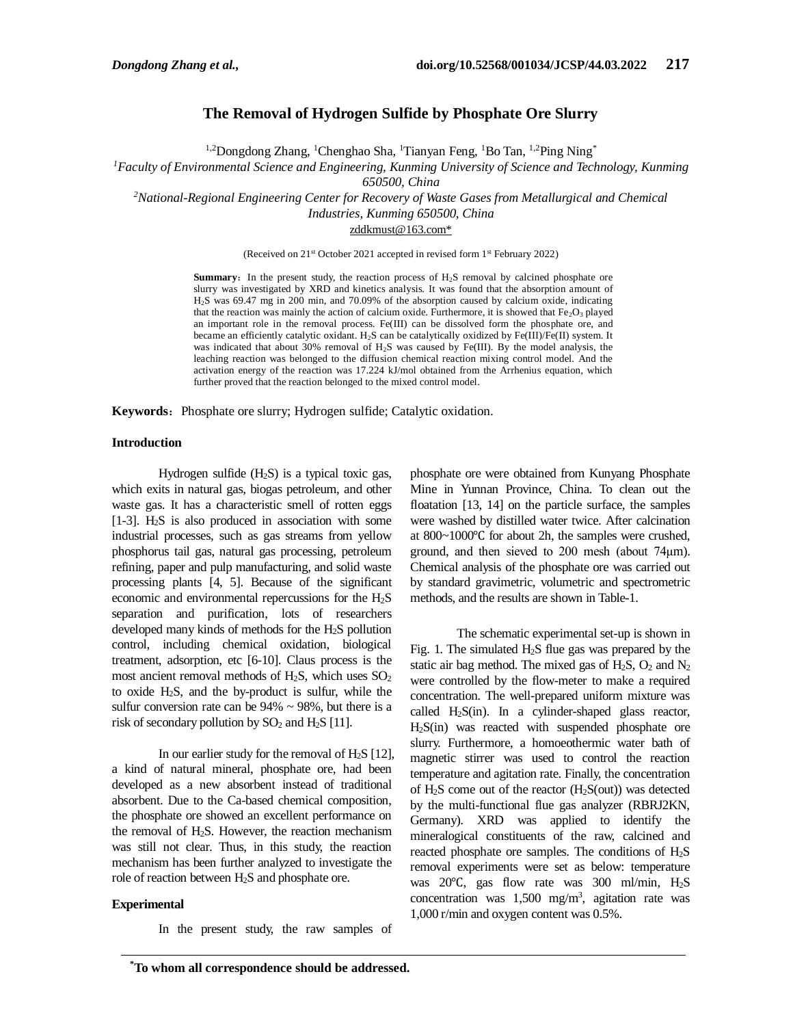# **The Removal of Hydrogen Sulfide by Phosphate Ore Slurry**

<sup>1,2</sup>Dongdong Zhang, <sup>1</sup>Chenghao Sha, <sup>1</sup>Tianyan Feng, <sup>1</sup>Bo Tan, <sup>1,2</sup>Ping Ning<sup>\*</sup>

*<sup>1</sup>Faculty of Environmental Science and Engineering, Kunming University of Science and Technology, Kunming* 

*650500, China*

*<sup>2</sup>National-Regional Engineering Center for Recovery of Waste Gases from Metallurgical and Chemical* 

*Industries, Kunming 650500, China*

[zddkmust@163.com\\*](mailto:zddkmust@163.com*)

(Received on 21st October 2021 accepted in revised form 1st February 2022)

**Summary:** In the present study, the reaction process of  $H_2S$  removal by calcined phosphate ore slurry was investigated by XRD and kinetics analysis. It was found that the absorption amount of H2S was 69.47 mg in 200 min, and 70.09% of the absorption caused by calcium oxide, indicating that the reaction was mainly the action of calcium oxide. Furthermore, it is showed that  $Fe<sub>2</sub>O<sub>3</sub>$  played an important role in the removal process. Fe(III) can be dissolved form the phosphate ore, and became an efficiently catalytic oxidant. H2S can be catalytically oxidized by Fe(III)/Fe(II) system. It was indicated that about 30% removal of H<sub>2</sub>S was caused by Fe(III). By the model analysis, the leaching reaction was belonged to the diffusion chemical reaction mixing control model. And the activation energy of the reaction was 17.224 kJ/mol obtained from the Arrhenius equation, which further proved that the reaction belonged to the mixed control model.

Keywords: Phosphate ore slurry; Hydrogen sulfide; Catalytic oxidation.

### **Introduction**

Hydrogen sulfide  $(H_2S)$  is a typical toxic gas, which exits in natural gas, biogas petroleum, and other waste gas. It has a characteristic smell of rotten eggs [1-3].  $H_2S$  is also produced in association with some industrial processes, such as gas streams from yellow phosphorus tail gas, natural gas processing, petroleum refining, paper and pulp manufacturing, and solid waste processing plants [4, 5]. Because of the significant economic and environmental repercussions for the  $H_2S$ separation and purification, lots of researchers developed many kinds of methods for the H2S pollution control, including chemical oxidation, biological treatment, adsorption, etc [6-10]. Claus process is the most ancient removal methods of H<sub>2</sub>S, which uses  $SO_2$ to oxide H2S, and the by-product is sulfur, while the sulfur conversion rate can be  $94\% \sim 98\%$ , but there is a risk of secondary pollution by  $SO_2$  and  $H_2S$  [11].

In our earlier study for the removal of  $H_2S$  [12], a kind of natural mineral, phosphate ore, had been developed as a new absorbent instead of traditional absorbent. Due to the Ca-based chemical composition, the phosphate ore showed an excellent performance on the removal of H2S. However, the reaction mechanism was still not clear. Thus, in this study, the reaction mechanism has been further analyzed to investigate the role of reaction between H2S and phosphate ore.

## **Experimental**

In the present study, the raw samples of

phosphate ore were obtained from Kunyang Phosphate Mine in Yunnan Province, China. To clean out the floatation [13, 14] on the particle surface, the samples were washed by distilled water twice. After calcination at 800~1000℃ for about 2h, the samples were crushed, ground, and then sieved to 200 mesh (about 74μm). Chemical analysis of the phosphate ore was carried out by standard gravimetric, volumetric and spectrometric methods, and the results are shown in Table-1.

The schematic experimental set-up is shown in Fig. 1. The simulated H2S flue gas was prepared by the static air bag method. The mixed gas of  $H_2S$ ,  $O_2$  and  $N_2$ were controlled by the flow-meter to make a required concentration. The well-prepared uniform mixture was called H2S(in). In a cylinder-shaped glass reactor, H2S(in) was reacted with suspended phosphate ore slurry. Furthermore, a homoeothermic water bath of magnetic stirrer was used to control the reaction temperature and agitation rate. Finally, the concentration of  $H_2S$  come out of the reactor  $(H_2S(out))$  was detected by the multi-functional flue gas analyzer (RBRJ2KN, Germany). XRD was applied to identify the mineralogical constituents of the raw, calcined and reacted phosphate ore samples. The conditions of  $H_2S$ removal experiments were set as below: temperature was 20℃, gas flow rate was 300 ml/min, H2S concentration was  $1,500$  mg/m<sup>3</sup>, agitation rate was 1,000 r/min and oxygen content was 0.5%.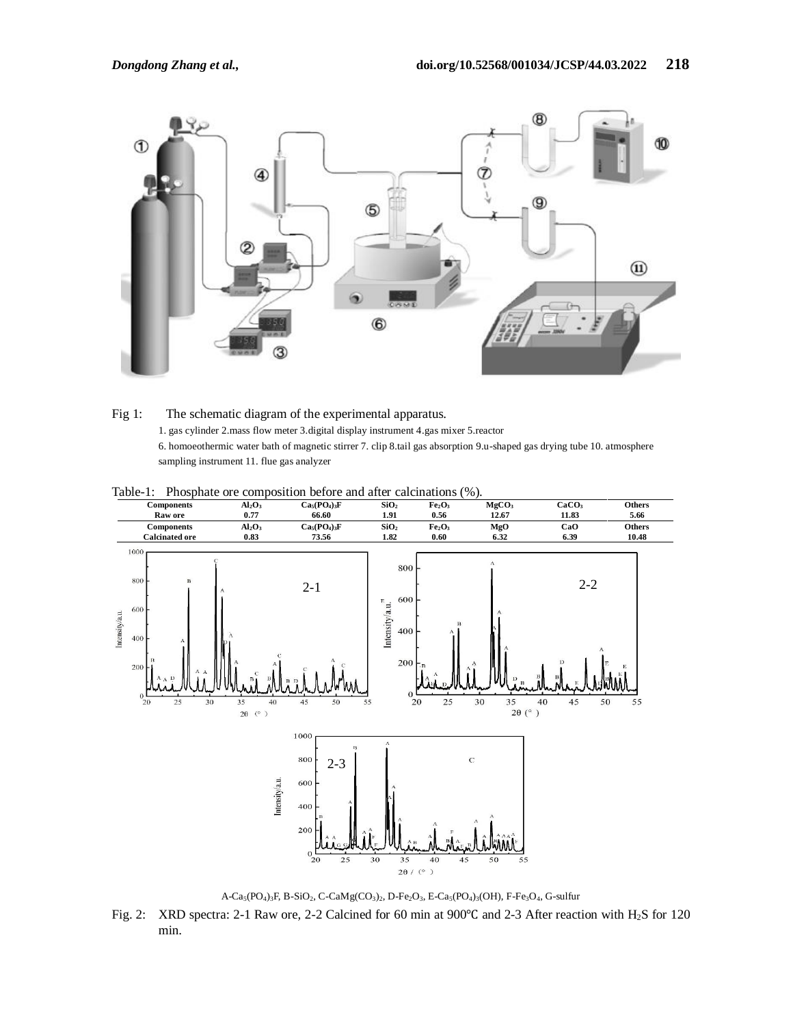

Fig 1: The schematic diagram of the experimental apparatus. 1. gas cylinder 2.mass flow meter 3.digital display instrument 4.gas mixer 5.reactor 6. homoeothermic water bath of magnetic stirrer 7. clip 8.tail gas absorption 9.u-shaped gas drying tube 10. atmosphere sampling instrument 11. flue gas analyzer



Table-1: Phosphate ore composition before and after calcinations (%).

 $A-Ca_5(PO_4)_3F$ , B-SiO<sub>2</sub>, C-CaMg(CO<sub>3</sub>)<sub>2</sub>, D-Fe<sub>2</sub>O<sub>3</sub>, E-Ca<sub>5</sub>(PO<sub>4</sub>)<sub>3</sub>(OH), F-Fe<sub>3</sub>O<sub>4</sub>, G-sulfur

Fig. 2: XRD spectra: 2-1 Raw ore, 2-2 Calcined for 60 min at 900℃ and 2-3 After reaction with H2S for 120 min.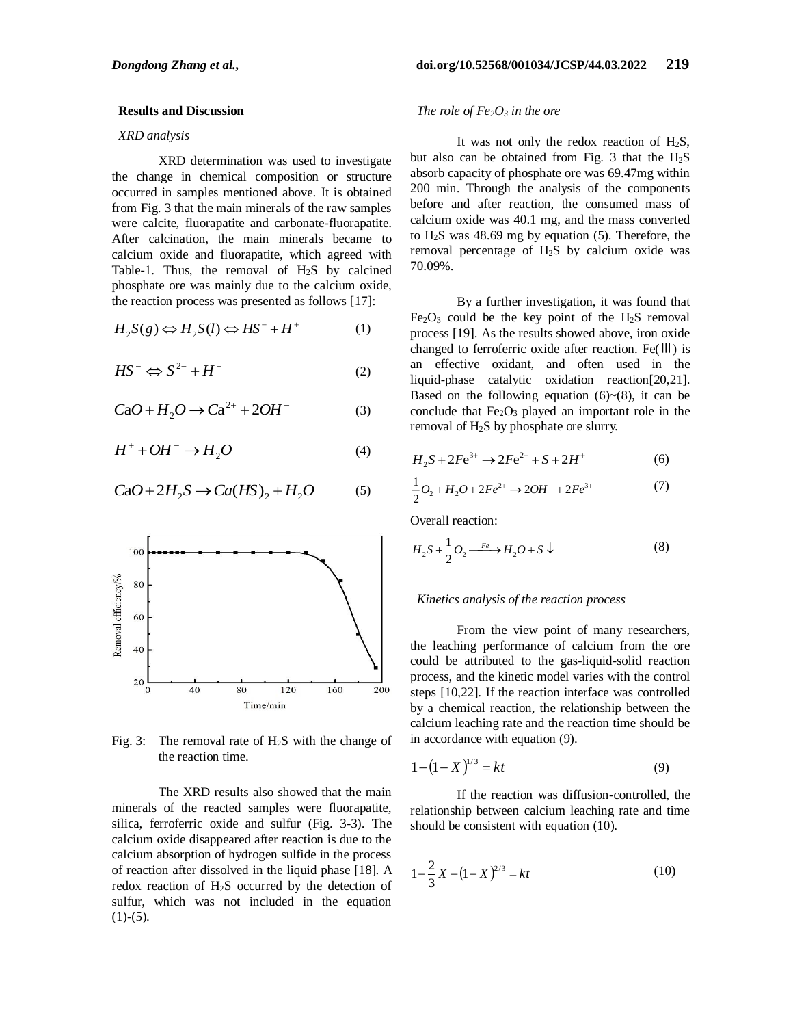## **Results and Discussion**

#### *XRD analysis*

XRD determination was used to investigate the change in chemical composition or structure occurred in samples mentioned above. It is obtained from Fig. 3 that the main minerals of the raw samples were calcite, fluorapatite and carbonate-fluorapatite. After calcination, the main minerals became to calcium oxide and fluorapatite, which agreed with Table-1. Thus, the removal of  $H<sub>2</sub>S$  by calcined phosphate ore was mainly due to the calcium oxide, the reaction process was presented as follows [17]:

$$
H_2S(g) \Leftrightarrow H_2S(l) \Leftrightarrow HS^- + H^+ \tag{1}
$$

$$
HS^{-} \Leftrightarrow S^{2-} + H^{+} \tag{2}
$$

$$
CaO + H_2O \rightarrow Ca^{2+} + 2OH^-
$$
 (3)

$$
H^+ + OH^- \to H_2O \tag{4}
$$

$$
CaO + 2H_2S \to Ca(HS)_2 + H_2O \tag{5}
$$



Fig. 3: The removal rate of  $H<sub>2</sub>S$  with the change of the reaction time.

The XRD results also showed that the main minerals of the reacted samples were fluorapatite, silica, ferroferric oxide and sulfur (Fig. 3-3). The calcium oxide disappeared after reaction is due to the calcium absorption of hydrogen sulfide in the process of reaction after dissolved in the liquid phase [18]. A redox reaction of  $H_2S$  occurred by the detection of sulfur, which was not included in the equation  $(1)-(5)$ .

## *The role of Fe2O<sup>3</sup> in the ore*

It was not only the redox reaction of  $H_2S$ , but also can be obtained from Fig. 3 that the  $H_2S$ absorb capacity of phosphate ore was 69.47mg within 200 min. Through the analysis of the components before and after reaction, the consumed mass of calcium oxide was 40.1 mg, and the mass converted to H2S was 48.69 mg by equation (5). Therefore, the removal percentage of H2S by calcium oxide was 70.09%.

By a further investigation, it was found that  $Fe<sub>2</sub>O<sub>3</sub>$  could be the key point of the H<sub>2</sub>S removal process [19]. As the results showed above, iron oxide changed to ferroferric oxide after reaction. Fe(Ⅲ) is an effective oxidant, and often used in the liquid-phase catalytic oxidation reaction[20,21]. Based on the following equation  $(6)~(8)$ , it can be conclude that  $Fe<sub>2</sub>O<sub>3</sub>$  played an important role in the removal of H2S by phosphate ore slurry.

$$
H_2S + 2Fe^{3+} \to 2Fe^{2+} + S + 2H^+ \tag{6}
$$

$$
\frac{1}{2}O_2 + H_2O + 2Fe^{2+} \rightarrow 2OH^- + 2Fe^{3+}
$$
 (7)

Overall reaction:

$$
H_2S + \frac{1}{2}O_2 \xrightarrow{Fe} H_2O + S \downarrow
$$
 (8)

## *Kinetics analysis of the reaction process*

From the view point of many researchers, the leaching performance of calcium from the ore could be attributed to the gas-liquid-solid reaction process, and the kinetic model varies with the control steps [10,22]. If the reaction interface was controlled by a chemical reaction, the relationship between the calcium leaching rate and the reaction time should be in accordance with equation (9).

$$
1 - (1 - X)^{1/3} = kt \tag{9}
$$

If the reaction was diffusion-controlled, the relationship between calcium leaching rate and time should be consistent with equation (10).

$$
1 - \frac{2}{3}X - (1 - X)^{2/3} = kt \tag{10}
$$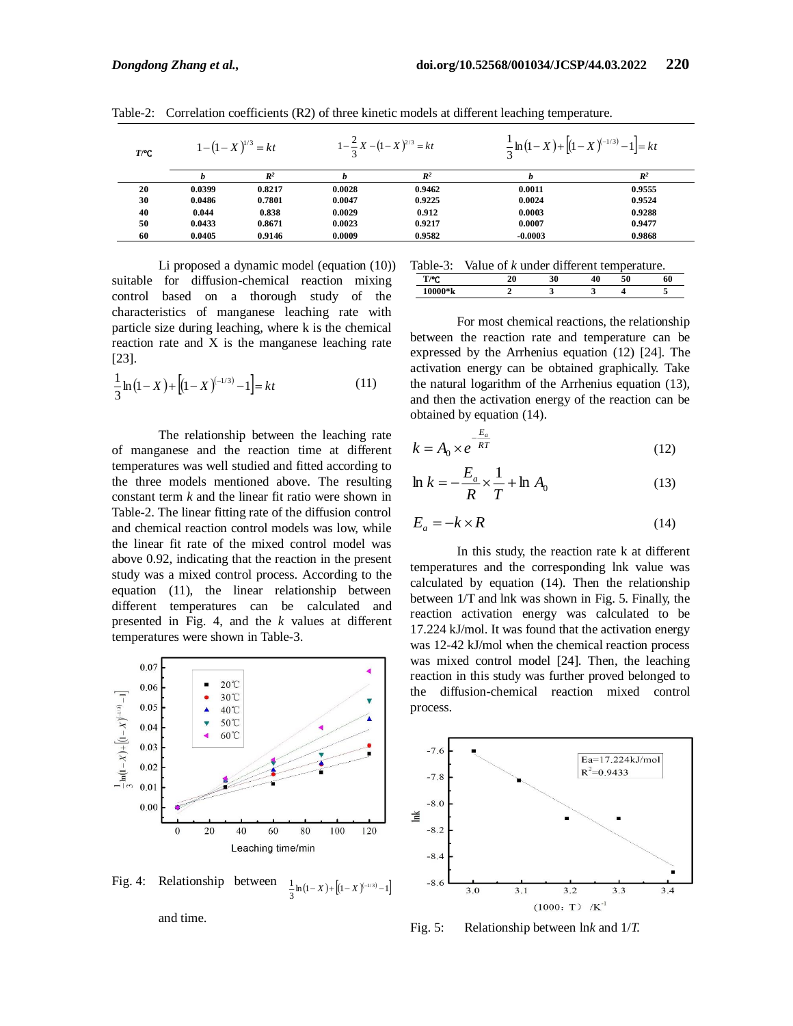| $T$ <sup><math>\circ</math></sup> C | $1-(1-X)^{1/3}=kt$ |                | $1-\frac{2}{3}X-(1-X)^{2/3}=kt$ |                | $\frac{1}{2} \ln (1-X) + [(1-X)^{(-1/3)} - 1] = kt$ |                |  |
|-------------------------------------|--------------------|----------------|---------------------------------|----------------|-----------------------------------------------------|----------------|--|
|                                     |                    | $\mathbb{R}^2$ |                                 | $\mathbb{R}^2$ |                                                     | $\mathbb{R}^2$ |  |
| 20                                  | 0.0399             | 0.8217         | 0.0028                          | 0.9462         | 0.0011                                              | 0.9555         |  |
| 30                                  | 0.0486             | 0.7801         | 0.0047                          | 0.9225         | 0.0024                                              | 0.9524         |  |
| 40                                  | 0.044              | 0.838          | 0.0029                          | 0.912          | 0.0003                                              | 0.9288         |  |
| 50                                  | 0.0433             | 0.8671         | 0.0023                          | 0.9217         | 0.0007                                              | 0.9477         |  |
| 60                                  | 0.0405             | 0.9146         | 0.0009                          | 0.9582         | $-0.0003$                                           | 0.9868         |  |

Table-2: Correlation coefficients (R2) of three kinetic models at different leaching temperature.

Li proposed a dynamic model (equation (10)) suitable for diffusion-chemical reaction mixing control based on a thorough study of the characteristics of manganese leaching rate with particle size during leaching, where k is the chemical reaction rate and X is the manganese leaching rate [23].

$$
\frac{1}{3}\ln(1-X) + \left[ (1-X)^{(-1/3)} - 1 \right] = kt \tag{11}
$$

The relationship between the leaching rate of manganese and the reaction time at different temperatures was well studied and fitted according to the three models mentioned above. The resulting constant term *k* and the linear fit ratio were shown in Table-2. The linear fitting rate of the diffusion control and chemical reaction control models was low, while the linear fit rate of the mixed control model was above 0.92, indicating that the reaction in the present study was a mixed control process. According to the equation (11), the linear relationship between different temperatures can be calculated and presented in Fig. 4, and the *k* values at different temperatures were shown in Table-3.



Fig. 4: Relationship between  $\frac{1}{3} \ln(1-X) + [(1-X)^{(-1/3)} - 1]$  $\frac{1}{2}$  ln (1 – X) +  $\frac{1}{2}$  (1 – X)<sup>(-1/3)</sup> – 1

and time.

Table-3: Value of *k* under different temperature.

| T/2C<br>v                     | w | ۰.<br>3U | -<br>11 | εo | 60 |
|-------------------------------|---|----------|---------|----|----|
| 0.55<br>A<br><b>TANA</b><br>w |   |          |         |    |    |

For most chemical reactions, the relationship between the reaction rate and temperature can be expressed by the Arrhenius equation (12) [24]. The activation energy can be obtained graphically. Take the natural logarithm of the Arrhenius equation (13), and then the activation energy of the reaction can be obtained by equation (14).

$$
k = A_0 \times e^{-\frac{E_a}{RT}}
$$
 (12)

$$
\ln k = -\frac{E_a}{R} \times \frac{1}{T} + \ln A_0 \tag{13}
$$

$$
E_a = -k \times R \tag{14}
$$

In this study, the reaction rate k at different temperatures and the corresponding lnk value was calculated by equation (14). Then the relationship between 1/T and lnk was shown in Fig. 5. Finally, the reaction activation energy was calculated to be 17.224 kJ/mol. It was found that the activation energy was 12-42 kJ/mol when the chemical reaction process was mixed control model [24]. Then, the leaching reaction in this study was further proved belonged to the diffusion-chemical reaction mixed control process.



Fig. 5: Relationship between ln*k* and 1/*T.*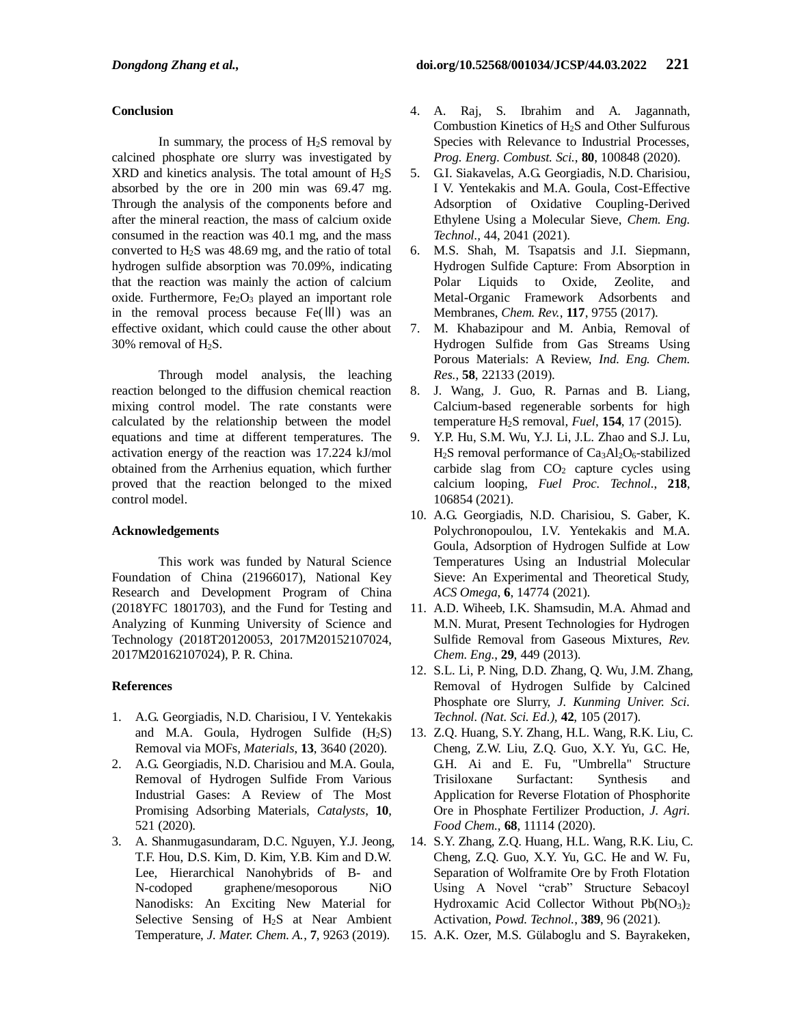# **Conclusion**

In summary, the process of  $H<sub>2</sub>S$  removal by calcined phosphate ore slurry was investigated by  $XRD$  and kinetics analysis. The total amount of  $H<sub>2</sub>S$ absorbed by the ore in 200 min was 69.47 mg. Through the analysis of the components before and after the mineral reaction, the mass of calcium oxide consumed in the reaction was 40.1 mg, and the mass converted to H2S was 48.69 mg, and the ratio of total hydrogen sulfide absorption was 70.09%, indicating that the reaction was mainly the action of calcium oxide. Furthermore,  $Fe<sub>2</sub>O<sub>3</sub>$  played an important role in the removal process because Fe(Ⅲ) was an effective oxidant, which could cause the other about 30% removal of  $H_2S$ .

Through model analysis, the leaching reaction belonged to the diffusion chemical reaction mixing control model. The rate constants were calculated by the relationship between the model equations and time at different temperatures. The activation energy of the reaction was 17.224 kJ/mol obtained from the Arrhenius equation, which further proved that the reaction belonged to the mixed control model.

# **Acknowledgements**

This work was funded by Natural Science Foundation of China (21966017), National Key Research and Development Program of China (2018YFC 1801703), and the Fund for Testing and Analyzing of Kunming University of Science and Technology (2018T20120053, 2017M20152107024, 2017M20162107024), P. R. China.

# **References**

- 1. A.G. Georgiadis, N.D. Charisiou, I V. Yentekakis and M.A. Goula, Hydrogen Sulfide (H<sub>2</sub>S) Removal via MOFs, *Materials*, **13**, 3640 (2020).
- 2. A.G. Georgiadis, N.D. Charisiou and M.A. Goula, Removal of Hydrogen Sulfide From Various Industrial Gases: A Review of The Most Promising Adsorbing Materials, *Catalysts*, **10**, 521 (2020).
- 3. A. Shanmugasundaram, D.C. Nguyen, Y.J. Jeong, T.F. Hou, D.S. Kim, D. Kim, Y.B. Kim and D.W. Lee, Hierarchical Nanohybrids of B- and N-codoped graphene/mesoporous NiO Nanodisks: An Exciting New Material for Selective Sensing of H<sub>2</sub>S at Near Ambient Temperature, *J. Mater. Chem. A.*, **7**, 9263 (2019).
- 4. A. Raj, S. Ibrahim and A. Jagannath, Combustion Kinetics of H2S and Other Sulfurous Species with Relevance to Industrial Processes, *Prog. Energ. Combust. Sci.*, **80**, 100848 (2020).
- 5. G.I. Siakavelas, A.G. Georgiadis, N.D. Charisiou, I V. Yentekakis and M.A. Goula, Cost-Effective Adsorption of Oxidative Coupling-Derived Ethylene Using a Molecular Sieve, *Chem. Eng. Technol.,* 44, 2041 (2021).
- 6. M.S. Shah, M. Tsapatsis and J.I. Siepmann, Hydrogen Sulfide Capture: From Absorption in Polar Liquids to Oxide, Zeolite, and Metal-Organic Framework Adsorbents and Membranes, *Chem. Rev.*, **117**, 9755 (2017).
- 7. M. Khabazipour and M. Anbia, Removal of Hydrogen Sulfide from Gas Streams Using Porous Materials: A Review, *Ind. Eng. Chem. Res.*, **58**, 22133 (2019).
- 8. J. Wang, J. Guo, R. Parnas and B. Liang, Calcium-based regenerable sorbents for high temperature H2S removal, *Fuel*, **154**, 17 (2015).
- 9. Y.P. Hu, S.M. Wu, Y.J. Li, J.L. Zhao and S.J. Lu,  $H<sub>2</sub>S$  removal performance of Ca<sub>3</sub>Al<sub>2</sub>O<sub>6</sub>-stabilized carbide slag from  $CO<sub>2</sub>$  capture cycles using calcium looping, *Fuel Proc. Technol.*, **218**, 106854 (2021).
- 10. A.G. Georgiadis, N.D. Charisiou, S. Gaber, K. Polychronopoulou, I.V. Yentekakis and M.A. Goula, Adsorption of Hydrogen Sulfide at Low Temperatures Using an Industrial Molecular Sieve: An Experimental and Theoretical Study, *ACS Omega*, **6**, 14774 (2021).
- 11. A.D. Wiheeb, I.K. Shamsudin, M.A. Ahmad and M.N. Murat, Present Technologies for Hydrogen Sulfide Removal from Gaseous Mixtures, *Rev. Chem. Eng.*, **29**, 449 (2013).
- 12. S.L. Li, P. Ning, D.D. Zhang, Q. Wu, J.M. Zhang, Removal of Hydrogen Sulfide by Calcined Phosphate ore Slurry, *J. Kunming Univer. Sci. Technol. (Nat. Sci. Ed.),* **42**, 105 (2017).
- 13. Z.Q. Huang, S.Y. Zhang, H.L. Wang, R.K. Liu, C. Cheng, Z.W. Liu, Z.Q. Guo, X.Y. Yu, G.C. He, G.H. Ai and E. Fu, "Umbrella" Structure Trisiloxane Surfactant: Synthesis and Application for Reverse Flotation of Phosphorite Ore in Phosphate Fertilizer Production, *J. Agri. Food Chem.*, **68**, 11114 (2020).
- 14. S.Y. Zhang, Z.Q. Huang, H.L. Wang, R.K. Liu, C. Cheng, Z.Q. Guo, X.Y. Yu, G.C. He and W. Fu, Separation of Wolframite Ore by Froth Flotation Using A Novel "crab" Structure Sebacoyl Hydroxamic Acid Collector Without Pb(NO<sub>3</sub>)<sub>2</sub> Activation, *Powd. Technol.*, **389**, 96 (2021).
- 15. A.K. Ozer, M.S. Gülaboglu and S. Bayrakeken,